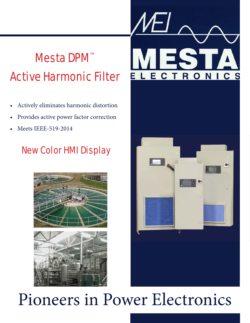# Mesta DPM™ Active Harmonic Filter

- Actively eliminates harmonic distortion
- Provides active power factor correction
- Meets IEEE-519-2014

# New Color HMI Display







# Pioneers in Power Electronics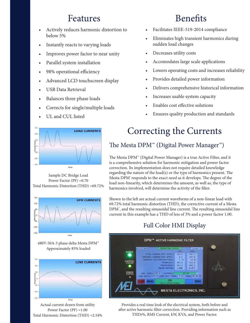### Features Benefits

- Actively reduces harmonic distortion to below 5%
- Instantly reacts to varying loads
- Improves power factor to near unity
- Parallel system installation
- 98% operational efficiency
- Advanced LCD touchscreen display
- USB Data Retrieval
- Balances three phase loads
- Corrects for single/multiple loads
- UL and CUL listed



Sample DC Bridge Load Power Factor (PF) =0.70 Total Harmonic Distortion (THD) =69.72%



480V-50A-3 phase delta Mesta DPM™ Approximately 85% loaded



Actual current drawn from utility Power Factor (PF) =1.00 Total Harmonic Distortion (THD) =2.54%

- Facilitates IEEE-519-2014 compliance
- Eliminates high transient harmonics during sudden load changes
- Decreases utility costs
- Accomodates large scale applications
- Lowers operating costs and increases reliability
- Provides detailed power information
- Delivers comprehensive historical information
- Increases usable system capacity
- Enables cost effective solutions
- Ensures quality production and standards

# Correcting the Currents

### The Mesta DPM™ (Digital Power Manager™)

The Mesta DPM™ (Digital Power Manager) is a true Active Filter, and it is a comprehensive solution for harmonic mitigation and power factor correction. Its implementation does not require detailed knowledge regarding the nature of the load(s) or the type of harmonics present. The Mesta DPM" responds to the exact need as it develops. The degree of the load non-linearity, which determines the amount, as well as, the type of harmonics involved, will determine the activity of the filter.

Shown to the left are actual current waveforms of a non-linear load with 69.72% total harmonic distortion (THD), the corrective current of a Mesta DPM", and the resulting sinusoidal line current. The resulting sinusoidal line current in this example has a THD of less of 3% and a power factor 1.00.

### Full Color HMI Display



Provides a real time look of the electrical system, both before and after active harmonic filter correction. Providing information such as THDr%, RMS Current, kW, KVA, and Power Factor.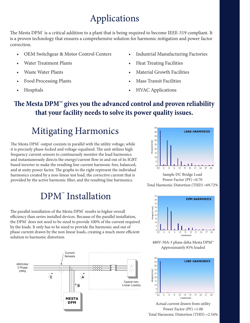## Applications

The Mesta DPM™ is a critical addition to a plant that is being required to become IEEE-519 compliant. It is a proven technology that ensures a comprehensive solution for harmonic mitigation and power factor correction.

- OEM Switchgear & Motor Control Centers
- Water Treatment Plants
- Waste Water Plants
- Food Processing Plants
- **Hospitals**
- Industrial Manufacturing Factories
- Heat Treating Facilities
- Material Growth Facilities
- Mass Transit Facilities
- HVAC Applications

### **The Mesta DPM™ gives you the advanced control and proven reliability that your facility needs to solve its power quality issues.**

# Mitigating Harmonics

The Mesta DPM" output coexists in parallel with the utility voltage, while it is precisely phase-locked and voltage-equalized. The unit utilizes high frequency current sensors to continuously monitor the load harmonics and instantaneously directs the energy/current flow in and out of its IGBT based inverter to make the resulting line current harmonic free, balanced, and at unity power factor. The graphs to the right represent the individual harmonics created by a non-linear test load, the corrective current that is provided by the active harmonic filter, and the resulting line harmonics.

## DPM™ Installation

The parallel installation of the Mesta DPM™ results in higher overall efficiency than series installed devices. Because of the parallel installation, the DPM™ does not need to be sized to provide 100% of the current required by the loads. It only has to be sized to provide the harmonic and out of phase current drawn by the non linear loads, creating a much more efficient solution to harmonic distortion.





Sample DC Bridge Load Power Factor (PF) =0.70 Total Harmonic Distortion (THD) =69.72%



480V-50A-3 phase delta Mesta DPM™ Approximately 85% loaded



Actual current drawn from utility Power Factor (PF) =1.00 Total Harmonic Distortion (THD) =2.54%